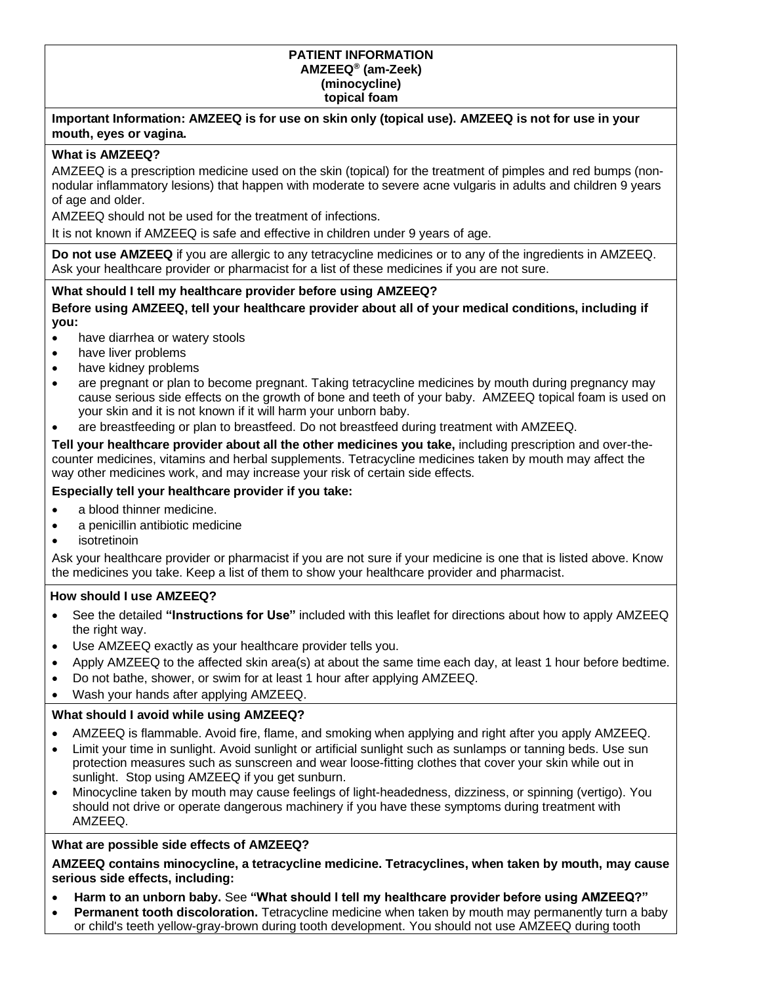#### **PATIENT INFORMATION AMZEEQ® (am-Zeek) (minocycline) topical foam**

#### **Important Information: AMZEEQ is for use on skin only (topical use). AMZEEQ is not for use in your mouth, eyes or vagina.**

## **What is AMZEEQ?**

AMZEEQ is a prescription medicine used on the skin (topical) for the treatment of pimples and red bumps (nonnodular inflammatory lesions) that happen with moderate to severe acne vulgaris in adults and children 9 years of age and older.

AMZEEQ should not be used for the treatment of infections.

It is not known if AMZEEQ is safe and effective in children under 9 years of age.

**Do not use AMZEEQ** if you are allergic to any tetracycline medicines or to any of the ingredients in AMZEEQ. Ask your healthcare provider or pharmacist for a list of these medicines if you are not sure.

#### **What should I tell my healthcare provider before using AMZEEQ?**

**Before using AMZEEQ, tell your healthcare provider about all of your medical conditions, including if you:**

- have diarrhea or watery stools
- have liver problems
- have kidney problems
- are pregnant or plan to become pregnant. Taking tetracycline medicines by mouth during pregnancy may cause serious side effects on the growth of bone and teeth of your baby. AMZEEQ topical foam is used on your skin and it is not known if it will harm your unborn baby.
- are breastfeeding or plan to breastfeed. Do not breastfeed during treatment with AMZEEQ.

**Tell your healthcare provider about all the other medicines you take,** including prescription and over-thecounter medicines, vitamins and herbal supplements. Tetracycline medicines taken by mouth may affect the way other medicines work, and may increase your risk of certain side effects.

## **Especially tell your healthcare provider if you take:**

- a blood thinner medicine.
- a penicillin antibiotic medicine
- *isotretinoin*

Ask your healthcare provider or pharmacist if you are not sure if your medicine is one that is listed above. Know the medicines you take. Keep a list of them to show your healthcare provider and pharmacist.

#### **How should I use AMZEEQ?**

- See the detailed **"Instructions for Use"** included with this leaflet for directions about how to apply AMZEEQ the right way.
- Use AMZEEQ exactly as your healthcare provider tells you.
- Apply AMZEEQ to the affected skin area(s) at about the same time each day, at least 1 hour before bedtime.
- Do not bathe, shower, or swim for at least 1 hour after applying AMZEEQ.
- Wash your hands after applying AMZEEQ.

# **What should I avoid while using AMZEEQ?**

- AMZEEQ is flammable. Avoid fire, flame, and smoking when applying and right after you apply AMZEEQ.
- Limit your time in sunlight. Avoid sunlight or artificial sunlight such as sunlamps or tanning beds. Use sun protection measures such as sunscreen and wear loose-fitting clothes that cover your skin while out in sunlight. Stop using AMZEEQ if you get sunburn.
- Minocycline taken by mouth may cause feelings of light-headedness, dizziness, or spinning (vertigo). You should not drive or operate dangerous machinery if you have these symptoms during treatment with AMZEEQ.

# **What are possible side effects of AMZEEQ?**

**AMZEEQ contains minocycline, a tetracycline medicine. Tetracyclines, when taken by mouth, may cause serious side effects, including:**

- **Harm to an unborn baby.** See **"What should I tell my healthcare provider before using AMZEEQ?"**
- **Permanent tooth discoloration.** Tetracycline medicine when taken by mouth may permanently turn a baby or child's teeth yellow-gray-brown during tooth development. You should not use AMZEEQ during tooth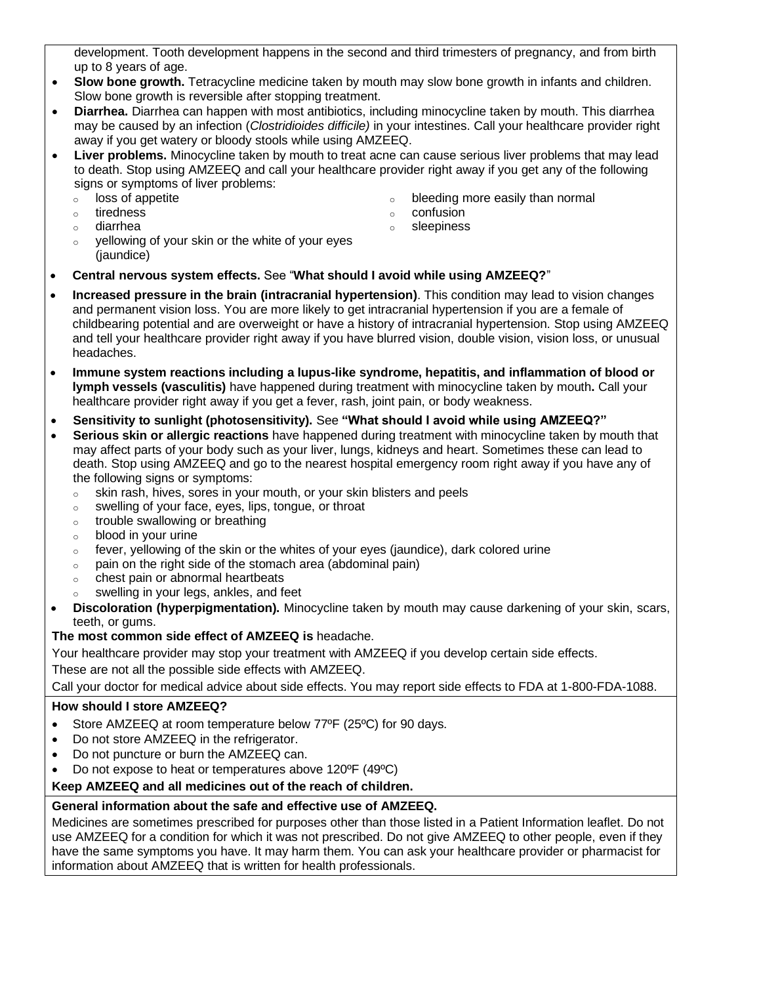development. Tooth development happens in the second and third trimesters of pregnancy, and from birth up to 8 years of age.

- **Slow bone growth.** Tetracycline medicine taken by mouth may slow bone growth in infants and children. Slow bone growth is reversible after stopping treatment.
- **Diarrhea.** Diarrhea can happen with most antibiotics, including minocycline taken by mouth. This diarrhea may be caused by an infection (*Clostridioides difficile)* in your intestines. Call your healthcare provider right away if you get watery or bloody stools while using AMZEEQ.
- **Liver problems.** Minocycline taken by mouth to treat acne can cause serious liver problems that may lead to death. Stop using AMZEEQ and call your healthcare provider right away if you get any of the following signs or symptoms of liver problems:
	- o loss of appetite
	- o tiredness
	- o diarrhea
- o bleeding more easily than normal
- o confusion o sleepiness
- o yellowing of your skin or the white of your eyes (*iaundice*)
- **Central nervous system effects.** See "**What should I avoid while using AMZEEQ?**"
- **Increased pressure in the brain (intracranial hypertension)**. This condition may lead to vision changes and permanent vision loss. You are more likely to get intracranial hypertension if you are a female of childbearing potential and are overweight or have a history of intracranial hypertension. Stop using AMZEEQ and tell your healthcare provider right away if you have blurred vision, double vision, vision loss, or unusual headaches.
- **Immune system reactions including a lupus-like syndrome, hepatitis, and inflammation of blood or lymph vessels (vasculitis)** have happened during treatment with minocycline taken by mouth**.** Call your healthcare provider right away if you get a fever, rash, joint pain, or body weakness.
- **Sensitivity to sunlight (photosensitivity).** See **"What should I avoid while using AMZEEQ?"**
- **Serious skin or allergic reactions** have happened during treatment with minocycline taken by mouth that may affect parts of your body such as your liver, lungs, kidneys and heart. Sometimes these can lead to death. Stop using AMZEEQ and go to the nearest hospital emergency room right away if you have any of the following signs or symptoms:
	- o skin rash, hives, sores in your mouth, or your skin blisters and peels
	- o swelling of your face, eyes, lips, tongue, or throat
	- $\circ$  trouble swallowing or breathing
	- o blood in your urine
	- $\circ$  fever, yellowing of the skin or the whites of your eyes (jaundice), dark colored urine
	- $\circ$  pain on the right side of the stomach area (abdominal pain)
	- o chest pain or abnormal heartbeats
	- o swelling in your legs, ankles, and feet
- **Discoloration (hyperpigmentation).** Minocycline taken by mouth may cause darkening of your skin, scars, teeth, or gums.

# **The most common side effect of AMZEEQ is** headache.

Your healthcare provider may stop your treatment with AMZEEQ if you develop certain side effects. These are not all the possible side effects with AMZEEQ.

Call your doctor for medical advice about side effects. You may report side effects to FDA at 1-800-FDA-1088.

# **How should I store AMZEEQ?**

- Store AMZEEQ at room temperature below 77°F (25°C) for 90 days.
- Do not store AMZEEQ in the refrigerator.
- Do not puncture or burn the AMZEEQ can.
- Do not expose to heat or temperatures above 120ºF (49ºC)

# **Keep AMZEEQ and all medicines out of the reach of children.**

# **General information about the safe and effective use of AMZEEQ.**

Medicines are sometimes prescribed for purposes other than those listed in a Patient Information leaflet. Do not use AMZEEQ for a condition for which it was not prescribed. Do not give AMZEEQ to other people, even if they have the same symptoms you have. It may harm them. You can ask your healthcare provider or pharmacist for information about AMZEEQ that is written for health professionals.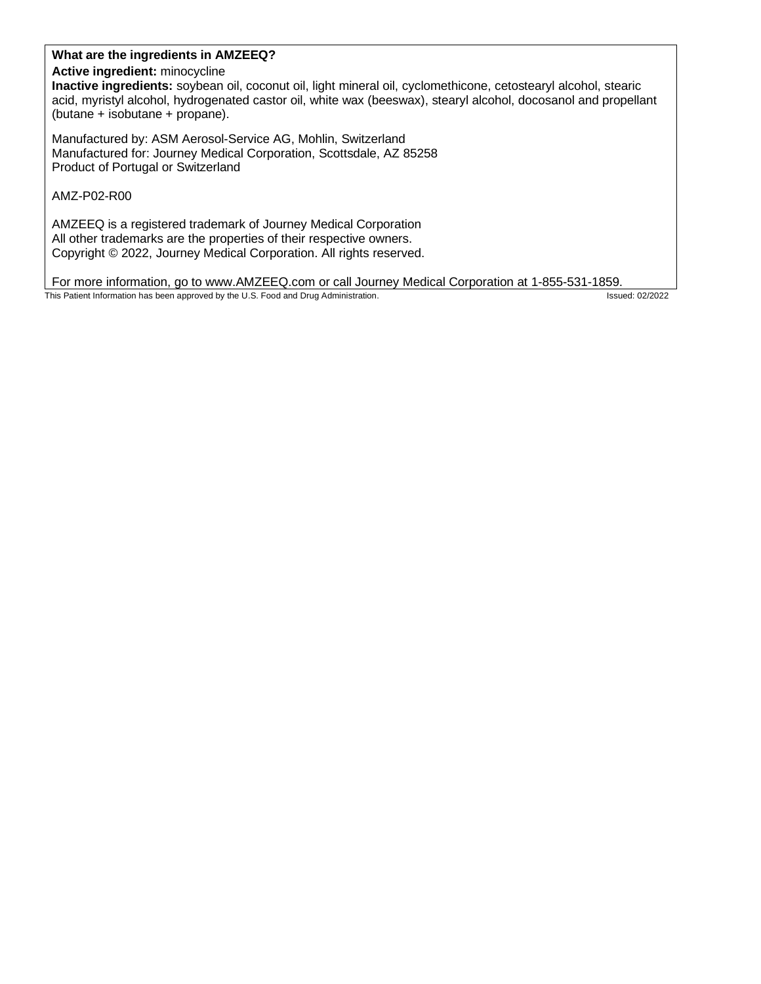# **What are the ingredients in AMZEEQ?**

### **Active ingredient:** minocycline

**Inactive ingredients:** soybean oil, coconut oil, light mineral oil, cyclomethicone, cetostearyl alcohol, stearic acid, myristyl alcohol, hydrogenated castor oil, white wax (beeswax), stearyl alcohol, docosanol and propellant (butane + isobutane + propane).

Manufactured by: ASM Aerosol-Service AG, Mohlin, Switzerland Manufactured for: Journey Medical Corporation, Scottsdale, AZ 85258 Product of Portugal or Switzerland

AMZ-P02-R00

AMZEEQ is a registered trademark of Journey Medical Corporation All other trademarks are the properties of their respective owners. Copyright © 2022, Journey Medical Corporation. All rights reserved.

For more information, go to www.AMZEEQ.com or call Journey Medical Corporation at 1-855-531-1859.

This Patient Information has been approved by the U.S. Food and Drug Administration. In the U.S. The U.S. Food and Drug Administration.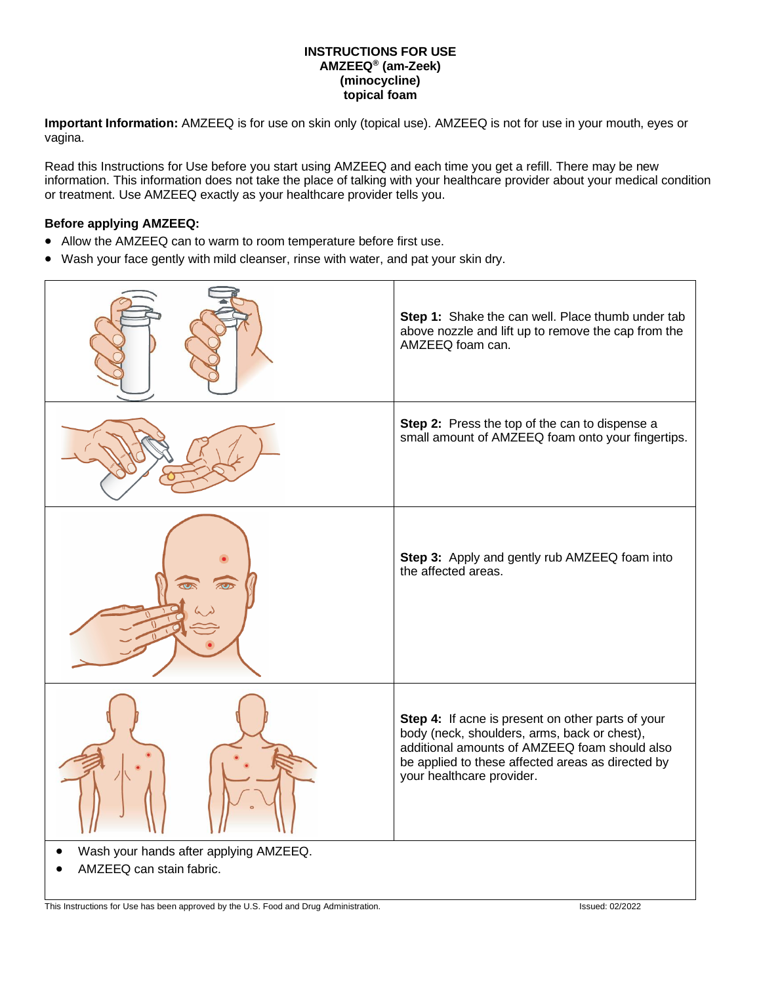#### **INSTRUCTIONS FOR USE AMZEEQ® (am-Zeek) (minocycline) topical foam**

**Important Information:** AMZEEQ is for use on skin only (topical use). AMZEEQ is not for use in your mouth, eyes or vagina.

Read this Instructions for Use before you start using AMZEEQ and each time you get a refill. There may be new information. This information does not take the place of talking with your healthcare provider about your medical condition or treatment. Use AMZEEQ exactly as your healthcare provider tells you.

#### **Before applying AMZEEQ:**

- Allow the AMZEEQ can to warm to room temperature before first use.
- Wash your face gently with mild cleanser, rinse with water, and pat your skin dry.